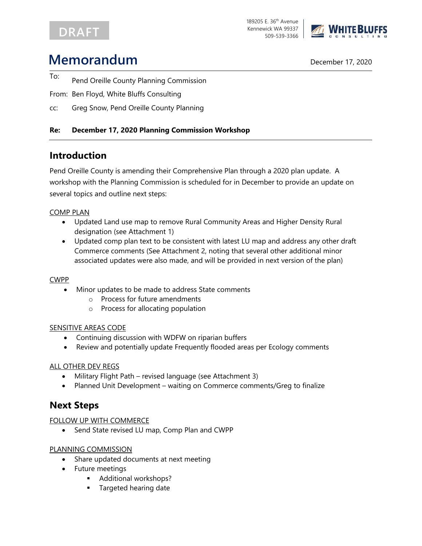# **DRAFT**



# **Memorandum** December 17, 2020

- To: Pend Oreille County Planning Commission
- From: Ben Floyd, White Bluffs Consulting
- cc: Greg Snow, Pend Oreille County Planning

### **Re: December 17, 2020 Planning Commission Workshop**

## **Introduction**

Pend Oreille County is amending their Comprehensive Plan through a 2020 plan update. A workshop with the Planning Commission is scheduled for in December to provide an update on several topics and outline next steps:

#### COMP PLAN

- Updated Land use map to remove Rural Community Areas and Higher Density Rural designation (see Attachment 1)
- Updated comp plan text to be consistent with latest LU map and address any other draft Commerce comments (See Attachment 2, noting that several other additional minor associated updates were also made, and will be provided in next version of the plan)

#### CWPP

- Minor updates to be made to address State comments
	- o Process for future amendments
	- o Process for allocating population

#### SENSITIVE AREAS CODE

- Continuing discussion with WDFW on riparian buffers
- Review and potentially update Frequently flooded areas per Ecology comments

#### ALL OTHER DEV REGS

- Military Flight Path revised language (see Attachment 3)
- Planned Unit Development waiting on Commerce comments/Greg to finalize

## **Next Steps**

#### FOLLOW UP WITH COMMERCE

• Send State revised LU map, Comp Plan and CWPP

### PLANNING COMMISSION

- Share updated documents at next meeting
- Future meetings
	- Additional workshops?
	- **Targeted hearing date**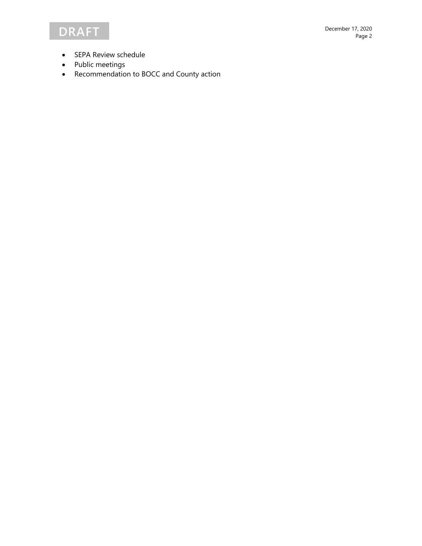- SEPA Review schedule
- Public meetings
- Recommendation to BOCC and County action